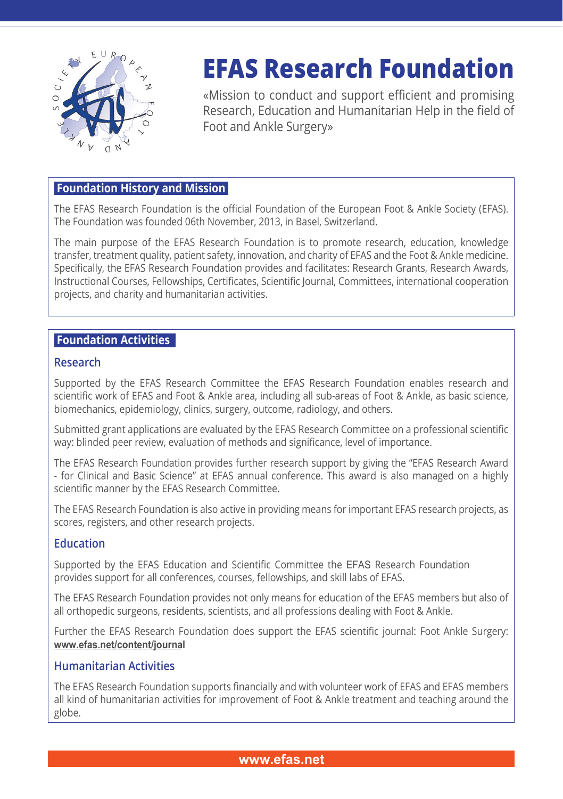

# **EFAS Research Foundation**

«Mission to conduct and support efficient and promising Research, Education and Humanitarian Help in the field of Foot and Ankle Surgery»

## **Foundation History and Mission**

The EFAS Research Foundation is the official Foundation of the European Foot & Ankle Society (EFAS). The Foundation was founded 06th November, 2013, in Basel, Switzerland.

The main purpose of the EFAS Research Foundation is to promote research, education, knowledge transfer, treatment quality, patient safety, innovation, and charity of EFAS and the Foot & Ankle medicine. Specifically, the EFAS Research Foundation provides and facilitates: Research Grants, Research Awards, Instructional Courses, Fellowships, Certificates, Scientific Journal, Committees, international cooperation projects, and charity and humanitarian activities.

## **Foundation Activities**

#### **Research**

Supported by the EFAS Research Committee the EFAS Research Foundation enables research and scientific work of EFAS and Foot & Ankle area, including all sub-areas of Foot & Ankle, as basic science, biomechanics, epidemiology, clinics, surgery, outcome, radiology, and others.

Submitted grant applications are evaluated by the EFAS Research Committee on a professional scientific way: blinded peer review, evaluation of methods and significance, level of importance.

The EFAS Research Foundation provides further research support by giving the "EFAS Research Award - for Clinical and Basic Science" at EFAS annual conference. This award is also managed on a highly scientific manner by the EFAS Research Committee.

The EFAS Research Foundation is also active in providing means for important EFAS research projects, as scores, registers, and other research projects.

#### **Education**

Supported by the EFAS Education and Scientific Committee the EFAS Research Foundation provides support for all conferences, courses, fellowships, and skill labs of EFAS.

The EFAS Research Foundation provides not only means for education of the EFAS members but also of all orthopedic surgeons, residents, scientists, and all professions dealing with Foot & Ankle.

Further the EFAS Research Foundation does support the EFAS scientific journal: Foot Ankle Surgery: **[www.efas.net/content/journal](http://www.efas.co/content/journal
)**

#### **Humanitarian Activities**

The EFAS Research Foundation supports financially and with volunteer work of EFAS and EFAS members all kind of humanitarian activities for improvement of Foot & Ankle treatment and teaching around the globe.